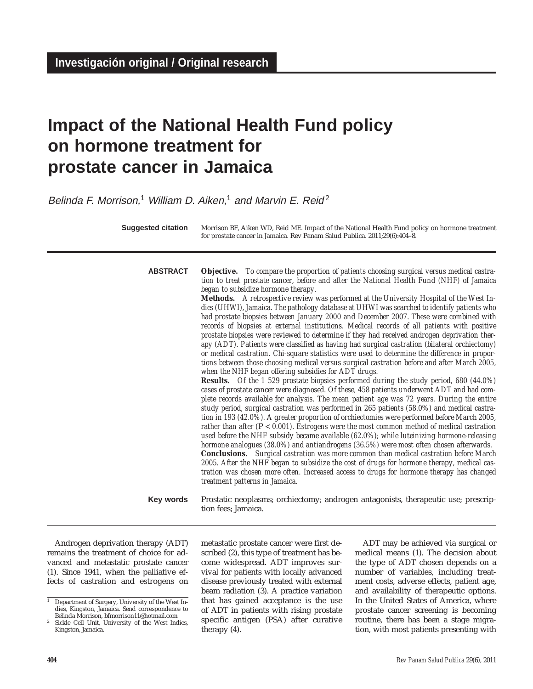# **Impact of the National Health Fund policy on hormone treatment for prostate cancer in Jamaica**

Belinda F. Morrison,<sup>1</sup> William D. Aiken,<sup>1</sup> and Marvin E. Reid<sup>2</sup>

**ABSTRACT**

Morrison BF, Aiken WD, Reid ME. Impact of the National Health Fund policy on hormone treatment for prostate cancer in Jamaica. Rev Panam Salud Publica. 2011;29(6):404–8. **Suggested citation**

> *tion to treat prostate cancer, before and after the National Health Fund (NHF) of Jamaica began to subsidize hormone therapy.* **Methods.** *A retrospective review was performed at the University Hospital of the West Indies (UHWI), Jamaica. The pathology database at UHWI was searched to identify patients who had prostate biopsies between January 2000 and December 2007. These were combined with records of biopsies at external institutions. Medical records of all patients with positive prostate biopsies were reviewed to determine if they had received androgen deprivation therapy (ADT). Patients were classified as having had surgical castration (bilateral orchiectomy) or medical castration. Chi-square statistics were used to determine the difference in proportions between those choosing medical versus surgical castration before and after March 2005, when the NHF began offering subsidies for ADT drugs.*

> **Objective.** *To compare the proportion of patients choosing surgical versus medical castra-*

**Results.** *Of the 1 529 prostate biopsies performed during the study period, 680 (44.0%) cases of prostate cancer were diagnosed. Of these, 458 patients underwent ADT and had complete records available for analysis. The mean patient age was 72 years. During the entire study period, surgical castration was performed in 265 patients (58.0%) and medical castration in 193 (42.0%). A greater proportion of orchiectomies were performed before March 2005, rather than after (*P *< 0.001). Estrogens were the most common method of medical castration used before the NHF subsidy became available (62.0%); while luteinizing hormone-releasing hormone analogues (38.0%) and antiandrogens (36.5%) were most often chosen afterwards.* **Conclusions.** *Surgical castration was more common than medical castration before March 2005. After the NHF began to subsidize the cost of drugs for hormone therapy, medical castration was chosen more often. Increased access to drugs for hormone therapy has changed treatment patterns in Jamaica.*

Prostatic neoplasms; orchiectomy; androgen antagonists, therapeutic use; prescription fees; Jamaica. **Key words**

Androgen deprivation therapy (ADT) remains the treatment of choice for advanced and metastatic prostate cancer (1). Since 1941, when the palliative effects of castration and estrogens on metastatic prostate cancer were first described (2), this type of treatment has become widespread. ADT improves survival for patients with locally advanced disease previously treated with external beam radiation (3). A practice variation that has gained acceptance is the use of ADT in patients with rising prostate specific antigen (PSA) after curative therapy (4).

ADT may be achieved via surgical or medical means (1). The decision about the type of ADT chosen depends on a number of variables, including treatment costs, adverse effects, patient age, and availability of therapeutic options. In the United States of America, where prostate cancer screening is becoming routine, there has been a stage migration, with most patients presenting with

<sup>&</sup>lt;sup>1</sup> Department of Surgery, University of the West Indies, Kingston, Jamaica. Send correspondence to Belinda Morrison, bfmorrison11@hotmail.com

Sickle Cell Unit, University of the West Indies, Kingston, Jamaica.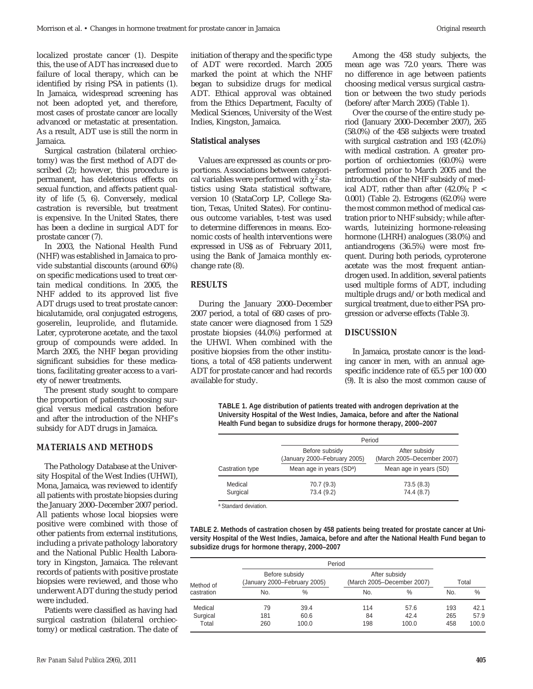localized prostate cancer (1). Despite this, the use of ADT has increased due to failure of local therapy, which can be identified by rising PSA in patients (1). In Jamaica, widespread screening has not been adopted yet, and therefore, most cases of prostate cancer are locally advanced or metastatic at presentation. As a result, ADT use is still the norm in Jamaica.

Surgical castration (bilateral orchiectomy) was the first method of ADT described (2); however, this procedure is permanent, has deleterious effects on sexual function, and affects patient quality of life (5, 6). Conversely, medical castration is reversible, but treatment is expensive. In the United States, there has been a decline in surgical ADT for prostate cancer (7).

In 2003, the National Health Fund (NHF) was established in Jamaica to provide substantial discounts (around 60%) on specific medications used to treat certain medical conditions. In 2005, the NHF added to its approved list five ADT drugs used to treat prostate cancer: bicalutamide, oral conjugated estrogens, goserelin, leuprolide, and flutamide. Later, cyproterone acetate, and the taxol group of compounds were added. In March 2005, the NHF began providing significant subsidies for these medications, facilitating greater access to a variety of newer treatments.

The present study sought to compare the proportion of patients choosing surgical versus medical castration before and after the introduction of the NHF's subsidy for ADT drugs in Jamaica.

#### **MATERIALS AND METHODS**

The Pathology Database at the University Hospital of the West Indies (UHWI), Mona, Jamaica, was reviewed to identify all patients with prostate biopsies during the January 2000–December 2007 period. All patients whose local biopsies were positive were combined with those of other patients from external institutions, including a private pathology laboratory and the National Public Health Laboratory in Kingston, Jamaica. The relevant records of patients with positive prostate biopsies were reviewed, and those who underwent ADT during the study period were included.

Patients were classified as having had surgical castration (bilateral orchiectomy) or medical castration. The date of initiation of therapy and the specific type of ADT were recorded. March 2005 marked the point at which the NHF began to subsidize drugs for medical ADT. Ethical approval was obtained from the Ethics Department, Faculty of Medical Sciences, University of the West Indies, Kingston, Jamaica.

#### **Statistical analyses**

Values are expressed as counts or proportions. Associations between categorical variables were performed with  $\chi^2$  statistics using Stata statistical software, version 10 (StataCorp LP, College Station, Texas, United States). For continuous outcome variables, t-test was used to determine differences in means. Economic costs of health interventions were expressed in US\$ as of February 2011, using the Bank of Jamaica monthly exchange rate (8).

## **RESULTS**

During the January 2000–December 2007 period, a total of 680 cases of prostate cancer were diagnosed from 1 529 prostate biopsies (44.0%) performed at the UHWI. When combined with the positive biopsies from the other institutions, a total of 458 patients underwent ADT for prostate cancer and had records available for study.

Among the 458 study subjects, the mean age was 72.0 years. There was no difference in age between patients choosing medical versus surgical castration or between the two study periods (before/after March 2005) (Table 1).

Over the course of the entire study period (January 2000–December 2007), 265 (58.0%) of the 458 subjects were treated with surgical castration and 193 (42.0%) with medical castration. A greater proportion of orchiectomies (60.0%) were performed prior to March 2005 and the introduction of the NHF subsidy of medical ADT, rather than after (42.0%; *P* < 0.001) (Table 2). Estrogens (62.0%) were the most common method of medical castration prior to NHF subsidy; while afterwards, luteinizing hormone-releasing hormone (LHRH) analogues (38.0%) and antiandrogens (36.5%) were most frequent. During both periods, cyproterone acetate was the most frequent antiandrogen used. In addition, several patients used multiple forms of ADT, including multiple drugs and/or both medical and surgical treatment, due to either PSA progression or adverse effects (Table 3).

#### **DISCUSSION**

In Jamaica, prostate cancer is the leading cancer in men, with an annual agespecific incidence rate of 65.5 per 100 000 (9). It is also the most common cause of

**TABLE 1. Age distribution of patients treated with androgen deprivation at the University Hospital of the West Indies, Jamaica, before and after the National Health Fund began to subsidize drugs for hormone therapy, 2000–2007**

|                     | Period                                                                                 |                                                                       |  |  |
|---------------------|----------------------------------------------------------------------------------------|-----------------------------------------------------------------------|--|--|
| Castration type     | Before subsidy<br>(January 2000-February 2005)<br>Mean age in years (SD <sup>a</sup> ) | After subsidy<br>(March 2005-December 2007)<br>Mean age in years (SD) |  |  |
| Medical<br>Surgical | 70.7 (9.3)<br>73.4 (9.2)                                                               | 73.5(8.3)<br>74.4 (8.7)                                               |  |  |

a Standard deviation.

**TABLE 2. Methods of castration chosen by 458 patients being treated for prostate cancer at University Hospital of the West Indies, Jamaica, before and after the National Health Fund began to subsidize drugs for hormone therapy, 2000–2007**

|                         |     | Period                                         |     |                                             |     |               |  |
|-------------------------|-----|------------------------------------------------|-----|---------------------------------------------|-----|---------------|--|
| Method of<br>castration |     | Before subsidy<br>(January 2000-February 2005) |     | After subsidy<br>(March 2005-December 2007) |     | Total         |  |
|                         | No. | %                                              | No. | $\%$                                        | No. | $\frac{0}{0}$ |  |
| Medical                 | 79  | 39.4                                           | 114 | 57.6                                        | 193 | 42.1          |  |
| Surgical                | 181 | 60.6                                           | 84  | 42.4                                        | 265 | 57.9          |  |
| Total                   | 260 | 100.0                                          | 198 | 100.0                                       | 458 | 100.0         |  |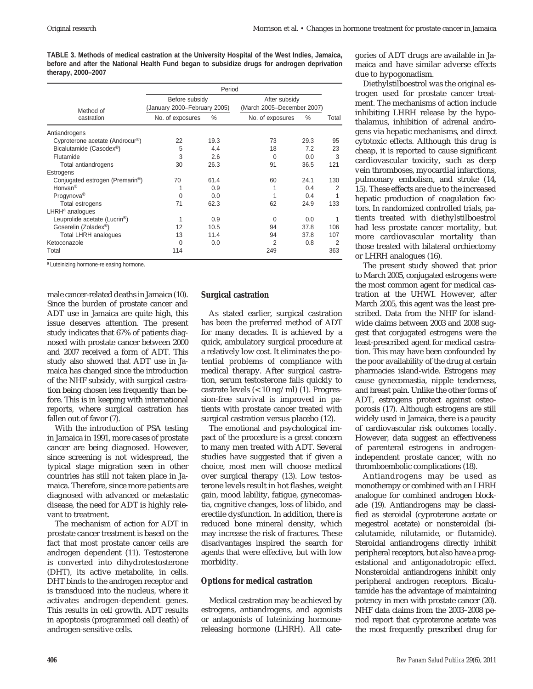**TABLE 3. Methods of medical castration at the University Hospital of the West Indies, Jamaica, before and after the National Health Fund began to subsidize drugs for androgen deprivation therapy, 2000–2007**

|                                              | Period                                         |               |                                             |      |       |
|----------------------------------------------|------------------------------------------------|---------------|---------------------------------------------|------|-------|
| Method of                                    | Before subsidy<br>(January 2000–February 2005) |               | After subsidy<br>(March 2005-December 2007) |      |       |
| castration                                   | No. of exposures                               | $\frac{0}{0}$ | No. of exposures                            | $\%$ | Total |
| Antiandrogens                                |                                                |               |                                             |      |       |
| Cyproterone acetate (Androcur®)              | 22                                             | 19.3          | 73                                          | 29.3 | 95    |
| Bicalutamide (Casodex <sup>®</sup> )         | 5                                              | 4.4           | 18                                          | 7.2  | 23    |
| Flutamide                                    | 3                                              | 2.6           | $\Omega$                                    | 0.0  | 3     |
| Total antiandrogens                          | 30                                             | 26.3          | 91                                          | 36.5 | 121   |
| Estrogens                                    |                                                |               |                                             |      |       |
| Conjugated estrogen (Premarin <sup>®</sup> ) | 70                                             | 61.4          | 60                                          | 24.1 | 130   |
| Honvan <sup>®</sup>                          |                                                | 0.9           |                                             | 0.4  | 2     |
| Progynova <sup>®</sup>                       | $\Omega$                                       | 0.0           |                                             | 0.4  |       |
| Total estrogens                              | 71                                             | 62.3          | 62                                          | 24.9 | 133   |
| LHRH <sup>a</sup> analogues                  |                                                |               |                                             |      |       |
| Leuprolide acetate (Lucrin <sup>®</sup> )    |                                                | 0.9           | 0                                           | 0.0  |       |
| Goserelin (Zoladex <sup>®</sup> )            | 12                                             | 10.5          | 94                                          | 37.8 | 106   |
| <b>Total LHRH analogues</b>                  | 13                                             | 11.4          | 94                                          | 37.8 | 107   |
| Ketoconazole                                 | $\Omega$                                       | 0.0           | 2                                           | 0.8  | 2     |
| Total                                        | 114                                            |               | 249                                         |      | 363   |

a Luteinizing hormone-releasing hormone.

male cancer-related deaths in Jamaica (10). Since the burden of prostate cancer and ADT use in Jamaica are quite high, this issue deserves attention. The present study indicates that 67% of patients diagnosed with prostate cancer between 2000 and 2007 received a form of ADT. This study also showed that ADT use in Jamaica has changed since the introduction of the NHF subsidy, with surgical castration being chosen less frequently than before. This is in keeping with international reports, where surgical castration has fallen out of favor (7).

With the introduction of PSA testing in Jamaica in 1991, more cases of prostate cancer are being diagnosed. However, since screening is not widespread, the typical stage migration seen in other countries has still not taken place in Jamaica. Therefore, since more patients are diagnosed with advanced or metastatic disease, the need for ADT is highly relevant to treatment.

The mechanism of action for ADT in prostate cancer treatment is based on the fact that most prostate cancer cells are androgen dependent (11). Testosterone is converted into dihydrotestosterone (DHT), its active metabolite, in cells. DHT binds to the androgen receptor and is transduced into the nucleus, where it activates androgen-dependent genes. This results in cell growth. ADT results in apoptosis (programmed cell death) of androgen-sensitive cells.

# **Surgical castration**

As stated earlier, surgical castration has been the preferred method of ADT for many decades. It is achieved by a quick, ambulatory surgical procedure at a relatively low cost. It eliminates the potential problems of compliance with medical therapy. After surgical castration, serum testosterone falls quickly to castrate levels (< 10 ng/ml) (1). Progression-free survival is improved in patients with prostate cancer treated with surgical castration versus placebo (12).

The emotional and psychological impact of the procedure is a great concern to many men treated with ADT. Several studies have suggested that if given a choice, most men will choose medical over surgical therapy (13). Low testosterone levels result in hot flashes, weight gain, mood lability, fatigue, gynecomastia, cognitive changes, loss of libido, and erectile dysfunction. In addition, there is reduced bone mineral density, which may increase the risk of fractures. These disadvantages inspired the search for agents that were effective, but with low morbidity.

## **Options for medical castration**

Medical castration may be achieved by estrogens, antiandrogens, and agonists or antagonists of luteinizing hormonereleasing hormone (LHRH). All categories of ADT drugs are available in Jamaica and have similar adverse effects due to hypogonadism.

Diethylstilboestrol was the original estrogen used for prostate cancer treatment. The mechanisms of action include inhibiting LHRH release by the hypothalamus, inhibition of adrenal androgens via hepatic mechanisms, and direct cytotoxic effects. Although this drug is cheap, it is reported to cause significant cardiovascular toxicity, such as deep vein thromboses, myocardial infarctions, pulmonary embolism, and stroke (14, 15). These effects are due to the increased hepatic production of coagulation factors. In randomized controlled trials, patients treated with diethylstilboestrol had less prostate cancer mortality, but more cardiovascular mortality than those treated with bilateral orchiectomy or LHRH analogues (16).

The present study showed that prior to March 2005, conjugated estrogens were the most common agent for medical castration at the UHWI. However, after March 2005, this agent was the least prescribed. Data from the NHF for islandwide claims between 2003 and 2008 suggest that conjugated estrogens were the least-prescribed agent for medical castration. This may have been confounded by the poor availability of the drug at certain pharmacies island-wide. Estrogens may cause gynecomastia, nipple tenderness, and breast pain. Unlike the other forms of ADT, estrogens protect against osteoporosis (17). Although estrogens are still widely used in Jamaica, there is a paucity of cardiovascular risk outcomes locally. However, data suggest an effectiveness of parenteral estrogens in androgenindependent prostate cancer, with no thromboembolic complications (18).

Antiandrogens may be used as monotherapy or combined with an LHRH analogue for combined androgen blockade (19). Antiandrogens may be classified as steroidal (cyproterone acetate or megestrol acetate) or nonsteroidal (bicalutamide, nilutamide, or flutamide). Steroidal antiandrogens directly inhibit peripheral receptors, but also have a progestational and antigonadotropic effect. Nonsteroidal antiandrogens inhibit only peripheral androgen receptors. Bicalutamide has the advantage of maintaining potency in men with prostate cancer (20). NHF data claims from the 2003–2008 period report that cyproterone acetate was the most frequently prescribed drug for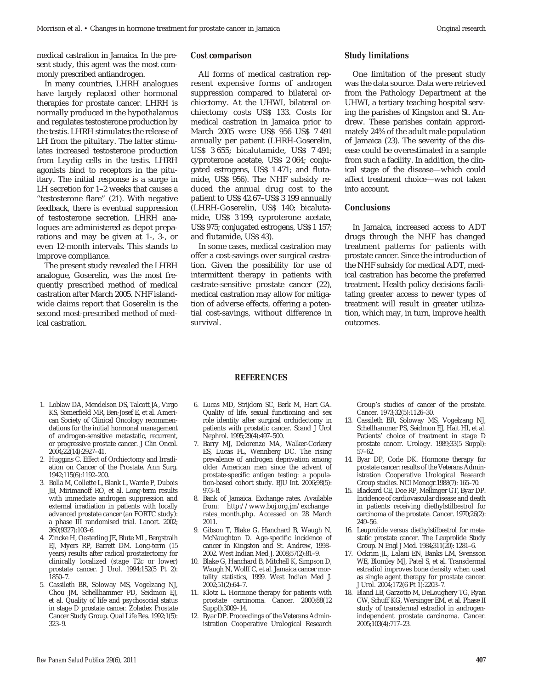medical castration in Jamaica. In the present study, this agent was the most commonly prescribed antiandrogen.

In many countries, LHRH analogues have largely replaced other hormonal therapies for prostate cancer. LHRH is normally produced in the hypothalamus and regulates testosterone production by the testis. LHRH stimulates the release of LH from the pituitary. The latter stimulates increased testosterone production from Leydig cells in the testis. LHRH agonists bind to receptors in the pituitary. The initial response is a surge in LH secretion for 1–2 weeks that causes a "testosterone flare" (21). With negative feedback, there is eventual suppression of testosterone secretion. LHRH analogues are administered as depot preparations and may be given at 1-, 3-, or even 12-month intervals. This stands to improve compliance.

The present study revealed the LHRH analogue, Goserelin, was the most frequently prescribed method of medical castration after March 2005. NHF islandwide claims report that Goserelin is the second most-prescribed method of medical castration.

### **Cost comparison**

All forms of medical castration represent expensive forms of androgen suppression compared to bilateral orchiectomy. At the UHWI, bilateral orchiectomy costs US\$ 133. Costs for medical castration in Jamaica prior to March 2005 were US\$ 956–US\$ 7 491 annually per patient (LHRH-Goserelin, US\$ 3 655; bicalutamide, US\$ 7 491; cyproterone acetate, US\$ 2 064; conjugated estrogens, US\$ 1 471; and flutamide, US\$ 956). The NHF subsidy reduced the annual drug cost to the patient to US\$ 42.67–US\$ 3 199 annually (LHRH-Goserelin, US\$ 140; bicalutamide, US\$ 3 199; cyproterone acetate, US\$ 975; conjugated estrogens, US\$ 1 157; and flutamide, US\$ 43).

In some cases, medical castration may offer a cost-savings over surgical castration. Given the possibility for use of intermittent therapy in patients with castrate-sensitive prostate cancer (22), medical castration may allow for mitigation of adverse effects, offering a potential cost-savings, without difference in survival.

#### **Study limitations**

One limitation of the present study was the data source. Data were retrieved from the Pathology Department at the UHWI, a tertiary teaching hospital serving the parishes of Kingston and St. Andrew. These parishes contain approximately 24% of the adult male population of Jamaica (23). The severity of the disease could be overestimated in a sample from such a facility. In addition, the clinical stage of the disease—which could affect treatment choice—was not taken into account.

# **Conclusions**

In Jamaica, increased access to ADT drugs through the NHF has changed treatment patterns for patients with prostate cancer. Since the introduction of the NHF subsidy for medical ADT, medical castration has become the preferred treatment. Health policy decisions facilitating greater access to newer types of treatment will result in greater utilization, which may, in turn, improve health outcomes.

- 1. Loblaw DA, Mendelson DS, Talcott JA, Virgo KS, Somerfield MR, Ben-Josef E, et al. American Society of Clinical Oncology recommendations for the initial hormonal management of androgen-sensitive metastatic, recurrent, or progressive prostate cancer. J Clin Oncol. 2004;22(14):2927–41.
- 2. Huggins C. Effect of Orchiectomy and Irradiation on Cancer of the Prostate. Ann Surg. 1942;115(6):1192–200.
- 3. Bolla M, Collette L, Blank L, Warde P, Dubois JB, Mirimanoff RO, et al. Long-term results with immediate androgen suppression and external irradiation in patients with locally advanced prostate cancer (an EORTC study): a phase III randomised trial. Lancet. 2002; 360(9327):103–6.
- 4. Zincke H, Oesterling JE, Blute ML, Bergstralh EJ, Myers RP, Barrett DM. Long-term (15 years) results after radical prostatectomy for clinically localized (stage T2c or lower) prostate cancer. J Urol. 1994;152(5 Pt 2): 1850–7.
- 5. Cassileth BR, Soloway MS, Vogelzang NJ, Chou JM, Schellhammer PD, Seidmon EJ, et al. Quality of life and psychosocial status in stage D prostate cancer. Zoladex Prostate Cancer Study Group. Qual Life Res. 1992;1(5): 323–9.

**REFERENCES**

- 6. Lucas MD, Strijdom SC, Berk M, Hart GA. Quality of life, sexual functioning and sex role identity after surgical orchidectomy in patients with prostatic cancer. Scand J Urol Nephrol. 1995;29(4):497–500.
- 7. Barry MJ, Delorenzo MA, Walker-Corkery ES, Lucas FL, Wennberg DC. The rising prevalence of androgen deprivation among older American men since the advent of prostate-specific antigen testing: a population-based cohort study. BJU Int. 2006;98(5): 973–8.
- 8. Bank of Jamaica. Exchange rates. Available from: http://www.boj.org.jm/exchange\_ rates\_month.php. Accessed on 28 March 2011.
- 9. Gibson T, Blake G, Hanchard B, Waugh N, McNaughton D. Age-specific incidence of cancer in Kingston and St. Andrew, 1998– 2002. West Indian Med J. 2008;57(2):81–9.
- 10. Blake G, Hanchard B, Mitchell K, Simpson D, Waugh N, Wolff C, et al. Jamaica cancer mortality statistics, 1999. West Indian Med J. 2002;51(2):64–7.
- 11. Klotz L. Hormone therapy for patients with prostate carcinoma. Cancer. 2000;88(12 Suppl):3009–14.
- 12. Byar DP. Proceedings of the Veterans Administration Cooperative Urological Research

Group's studies of cancer of the prostate. Cancer. 1973;32(5):1126–30.

- 13. Cassileth BR, Soloway MS, Vogelzang NJ, Schellhammer PS, Seidmon EJ, Hait HI, et al. Patients' choice of treatment in stage D prostate cancer. Urology. 1989;33(5 Suppl): 57–62.
- 14. Byar DP, Corle DK. Hormone therapy for prostate cancer: results of the Veterans Administration Cooperative Urological Research Group studies. NCI Monogr.1988(7): 165–70.
- 15. Blackard CE, Doe RP, Mellinger GT, Byar DP. Incidence of cardiovascular disease and death in patients receiving diethylstilbestrol for carcinoma of the prostate. Cancer. 1970;26(2): 249–56.
- 16. Leuprolide versus diethylstilbestrol for metastatic prostate cancer. The Leuprolide Study Group. N Engl J Med. 1984;311(20): 1281–6.
- 17. Ockrim JL, Lalani EN, Banks LM, Svensson WE, Blomley MJ, Patel S, et al. Transdermal estradiol improves bone density when used as single agent therapy for prostate cancer. J Urol. 2004;172(6 Pt 1):2203–7.
- 18. Bland LB, Garzotto M, DeLoughery TG, Ryan CW, Schuff KG, Wersinger EM, et al. Phase II study of transdermal estradiol in androgenindependent prostate carcinoma. Cancer. 2005;103(4):717–23.